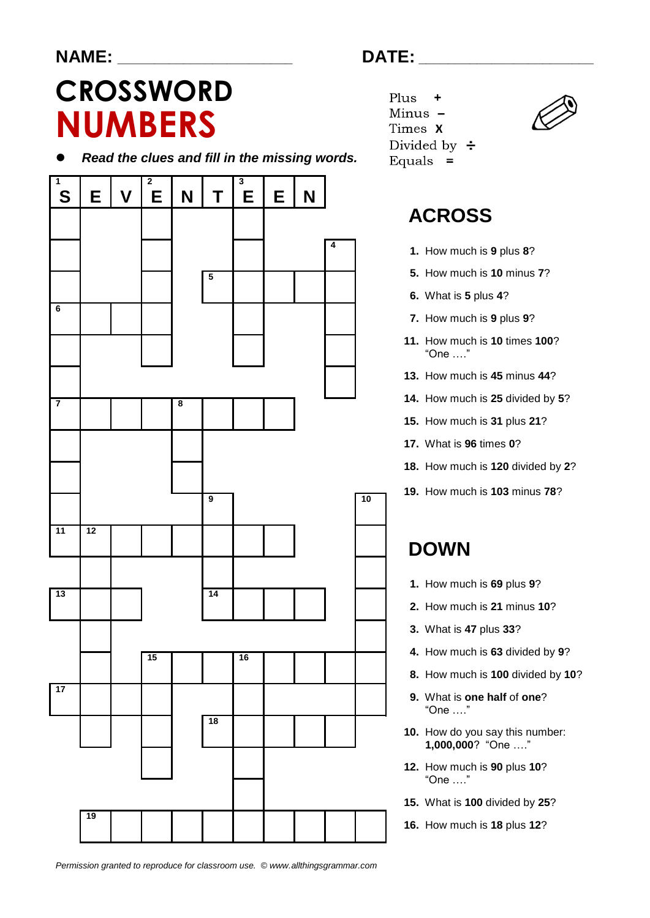#### **NAME: \_\_\_\_\_\_\_\_\_\_\_\_\_\_\_\_\_\_\_\_\_\_\_\_ DATE: \_\_\_\_\_\_\_\_\_\_\_\_\_\_\_\_\_\_\_\_\_\_\_\_**

# **CROSSWORD NUMBERS**

*Read the clues and fill in the missing words.*



Plus Minus -Times X Divided by  $\div$ Equals  $=$ 



## **ACROSS**

- **1.** How much is **9** plus **8**?
- **5.** How much is **10** minus **7**?
- **6.** What is **5** plus **4**?
- **7.** How much is **9** plus **9**?
- **11.** How much is **10** times **100**? "One …."
- **13.** How much is **45** minus **44**?
- **14.** How much is **25** divided by **5**?
- **15.** How much is **31** plus **21**?
- **17.** What is **96** times **0**?
- **18.** How much is **120** divided by **2**?
- **19.** How much is **103** minus **78**?

## **DOWN**

- **1.** How much is **69** plus **9**?
- **2.** How much is **21** minus **10**?
- **3.** What is **47** plus **33**?
- **4.** How much is **63** divided by **9**?
- **8.** How much is **100** divided by **10**?
- **9.** What is **one half** of **one**? "One …."
- **10.** How do you say this number: **1,000,000**? "One …."
- **12.** How much is **90** plus **10**? "One …."
- **15.** What is **100** divided by **25**?
- **16.** How much is **18** plus **12**?

*Permission granted to reproduce for classroom use. © www.allthingsgrammar.com*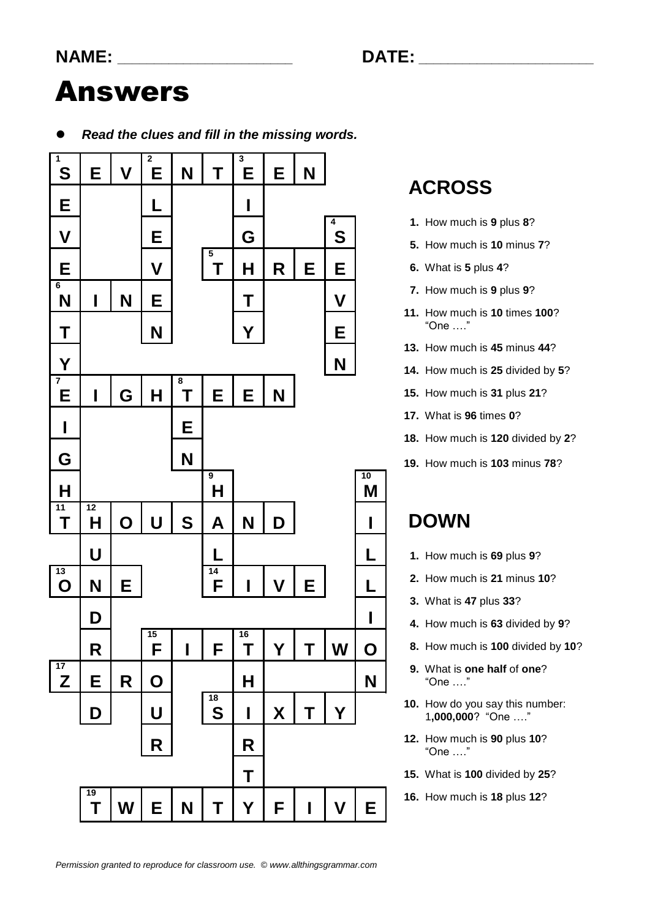# Answers

*Read the clues and fill in the missing words.*



## **ACROSS**

- **1.** How much is **9** plus **8**?
- **5.** How much is **10** minus **7**?
- **6.** What is **5** plus **4**?
- **7.** How much is **9** plus **9**?
- **11.** How much is **10** times **100**? "One …."
- **13.** How much is **45** minus **44**?
- **14.** How much is **25** divided by **5**?
- **15.** How much is **31** plus **21**?
- **17.** What is **96** times **0**?
- **18.** How much is **120** divided by **2**?
- **19.** How much is **103** minus **78**?

#### **DOWN**

- **1.** How much is **69** plus **9**?
- **2.** How much is **21** minus **10**?
- **3.** What is **47** plus **33**?
- **4.** How much is **63** divided by **9**?
- **8.** How much is **100** divided by **10**?
- **9.** What is **one half** of **one**? "One …."
- **10.** How do you say this number: 1**,000,000**? "One …."
- **12.** How much is **90** plus **10**? "One …."
- **15.** What is **100** divided by **25**?
- **16.** How much is **18** plus **12**?